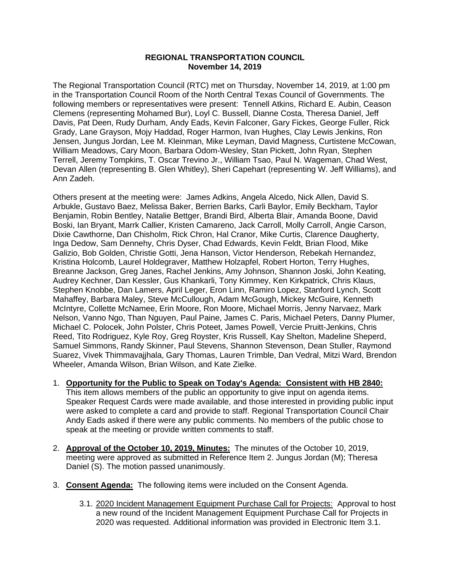## **REGIONAL TRANSPORTATION COUNCIL November 14, 2019**

The Regional Transportation Council (RTC) met on Thursday, November 14, 2019, at 1:00 pm in the Transportation Council Room of the North Central Texas Council of Governments. The following members or representatives were present: Tennell Atkins, Richard E. Aubin, Ceason Clemens (representing Mohamed Bur), Loyl C. Bussell, Dianne Costa, Theresa Daniel, Jeff Davis, Pat Deen, Rudy Durham, Andy Eads, Kevin Falconer, Gary Fickes, George Fuller, Rick Grady, Lane Grayson, Mojy Haddad, Roger Harmon, Ivan Hughes, Clay Lewis Jenkins, Ron Jensen, Jungus Jordan, Lee M. Kleinman, Mike Leyman, David Magness, Curtistene McCowan, William Meadows, Cary Moon, Barbara Odom-Wesley, Stan Pickett, John Ryan, Stephen Terrell, Jeremy Tompkins, T. Oscar Trevino Jr., William Tsao, Paul N. Wageman, Chad West, Devan Allen (representing B. Glen Whitley), Sheri Capehart (representing W. Jeff Williams), and Ann Zadeh.

Others present at the meeting were: James Adkins, Angela Alcedo, Nick Allen, David S. Arbukle, Gustavo Baez, Melissa Baker, Berrien Barks, Carli Baylor, Emily Beckham, Taylor Benjamin, Robin Bentley, Natalie Bettger, Brandi Bird, Alberta Blair, Amanda Boone, David Boski, Ian Bryant, Marrk Callier, Kristen Camareno, Jack Carroll, Molly Carroll, Angie Carson, Dixie Cawthorne, Dan Chisholm, Rick Chron, Hal Cranor, Mike Curtis, Clarence Daugherty, Inga Dedow, Sam Dennehy, Chris Dyser, Chad Edwards, Kevin Feldt, Brian Flood, Mike Galizio, Bob Golden, Christie Gotti, Jena Hanson, Victor Henderson, Rebekah Hernandez, Kristina Holcomb, Laurel Holdegraver, Matthew Holzapfel, Robert Horton, Terry Hughes, Breanne Jackson, Greg Janes, Rachel Jenkins, Amy Johnson, Shannon Joski, John Keating, Audrey Kechner, Dan Kessler, Gus Khankarli, Tony Kimmey, Ken Kirkpatrick, Chris Klaus, Stephen Knobbe, Dan Lamers, April Leger, Eron Linn, Ramiro Lopez, Stanford Lynch, Scott Mahaffey, Barbara Maley, Steve McCullough, Adam McGough, Mickey McGuire, Kenneth McIntyre, Collette McNamee, Erin Moore, Ron Moore, Michael Morris, Jenny Narvaez, Mark Nelson, Vanno Ngo, Than Nguyen, Paul Paine, James C. Paris, Michael Peters, Danny Plumer, Michael C. Polocek, John Polster, Chris Poteet, James Powell, Vercie Pruitt-Jenkins, Chris Reed, Tito Rodriguez, Kyle Roy, Greg Royster, Kris Russell, Kay Shelton, Madeline Sheperd, Samuel Simmons, Randy Skinner, Paul Stevens, Shannon Stevenson, Dean Stuller, Raymond Suarez, Vivek Thimmavajjhala, Gary Thomas, Lauren Trimble, Dan Vedral, Mitzi Ward, Brendon Wheeler, Amanda Wilson, Brian Wilson, and Kate Zielke.

- 1. **Opportunity for the Public to Speak on Today's Agenda: Consistent with HB 2840:** This item allows members of the public an opportunity to give input on agenda items. Speaker Request Cards were made available, and those interested in providing public input were asked to complete a card and provide to staff. Regional Transportation Council Chair Andy Eads asked if there were any public comments. No members of the public chose to speak at the meeting or provide written comments to staff.
- 2. **Approval of the October 10, 2019, Minutes:** The minutes of the October 10, 2019, meeting were approved as submitted in Reference Item 2. Jungus Jordan (M); Theresa Daniel (S). The motion passed unanimously.
- 3. **Consent Agenda:** The following items were included on the Consent Agenda.
	- 3.1. 2020 Incident Management Equipment Purchase Call for Projects: Approval to host a new round of the Incident Management Equipment Purchase Call for Projects in 2020 was requested. Additional information was provided in Electronic Item 3.1.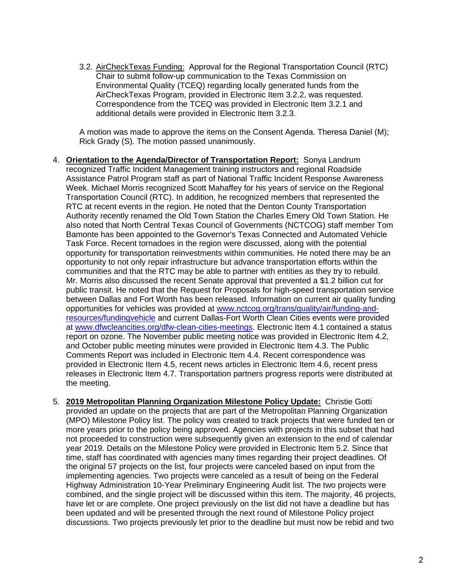3.2. AirCheckTexas Funding: Approval for the Regional Transportation Council (RTC) Chair to submit follow-up communication to the Texas Commission on Environmental Quality (TCEQ) regarding locally generated funds from the AirCheckTexas Program, provided in Electronic Item 3.2.2, was requested. Correspondence from the TCEQ was provided in Electronic Item 3.2.1 and additional details were provided in Electronic Item 3.2.3.

A motion was made to approve the items on the Consent Agenda. Theresa Daniel (M); Rick Grady (S). The motion passed unanimously.

- 4. **Orientation to the Agenda/Director of Transportation Report:** Sonya Landrum recognized Traffic Incident Management training instructors and regional Roadside Assistance Patrol Program staff as part of National Traffic Incident Response Awareness Week. Michael Morris recognized Scott Mahaffey for his years of service on the Regional Transportation Council (RTC). In addition, he recognized members that represented the RTC at recent events in the region. He noted that the Denton County Transportation Authority recently renamed the Old Town Station the Charles Emery Old Town Station. He also noted that North Central Texas Council of Governments (NCTCOG) staff member Tom Bamonte has been appointed to the Governor's Texas Connected and Automated Vehicle Task Force. Recent tornadoes in the region were discussed, along with the potential opportunity for transportation reinvestments within communities. He noted there may be an opportunity to not only repair infrastructure but advance transportation efforts within the communities and that the RTC may be able to partner with entities as they try to rebuild. Mr. Morris also discussed the recent Senate approval that prevented a \$1.2 billion cut for public transit. He noted that the Request for Proposals for high-speed transportation service between Dallas and Fort Worth has been released. Information on current air quality funding opportunities for vehicles was provided at [www.nctcog.org/trans/quality/air/funding-and](http://www.nctcog.org/trans/quality/air/funding-and-resources/fundingvehicle)[resources/fundingvehicle](http://www.nctcog.org/trans/quality/air/funding-and-resources/fundingvehicle) and current Dallas-Fort Worth Clean Cities events were provided at [www.dfwcleancities.org/dfw-clean-cities-meetings.](http://www.dfwcleancities.org/dfw-clean-cities-meetings) Electronic Item 4.1 contained a status report on ozone. The November public meeting notice was provided in Electronic Item 4.2, and October public meeting minutes were provided in Electronic Item 4.3. The Public Comments Report was included in Electronic Item 4.4. Recent correspondence was provided in Electronic Item 4.5, recent news articles in Electronic Item 4.6, recent press releases in Electronic Item 4.7. Transportation partners progress reports were distributed at the meeting.
- 5. **2019 Metropolitan Planning Organization Milestone Policy Update:** Christie Gotti provided an update on the projects that are part of the Metropolitan Planning Organization (MPO) Milestone Policy list. The policy was created to track projects that were funded ten or more years prior to the policy being approved. Agencies with projects in this subset that had not proceeded to construction were subsequently given an extension to the end of calendar year 2019. Details on the Milestone Policy were provided in Electronic Item 5.2. Since that time, staff has coordinated with agencies many times regarding their project deadlines. Of the original 57 projects on the list, four projects were canceled based on input from the implementing agencies. Two projects were canceled as a result of being on the Federal Highway Administration 10-Year Preliminary Engineering Audit list. The two projects were combined, and the single project will be discussed within this item. The majority, 46 projects, have let or are complete. One project previously on the list did not have a deadline but has been updated and will be presented through the next round of Milestone Policy project discussions. Two projects previously let prior to the deadline but must now be rebid and two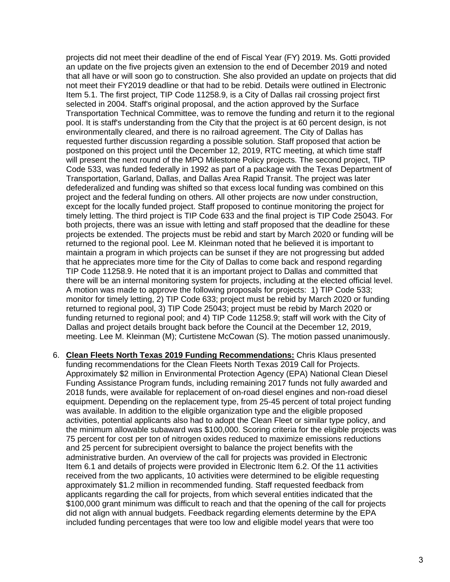projects did not meet their deadline of the end of Fiscal Year (FY) 2019. Ms. Gotti provided an update on the five projects given an extension to the end of December 2019 and noted that all have or will soon go to construction. She also provided an update on projects that did not meet their FY2019 deadline or that had to be rebid. Details were outlined in Electronic Item 5.1. The first project, TIP Code 11258.9, is a City of Dallas rail crossing project first selected in 2004. Staff's original proposal, and the action approved by the Surface Transportation Technical Committee, was to remove the funding and return it to the regional pool. It is staff's understanding from the City that the project is at 60 percent design, is not environmentally cleared, and there is no railroad agreement. The City of Dallas has requested further discussion regarding a possible solution. Staff proposed that action be postponed on this project until the December 12, 2019, RTC meeting, at which time staff will present the next round of the MPO Milestone Policy projects. The second project, TIP Code 533, was funded federally in 1992 as part of a package with the Texas Department of Transportation, Garland, Dallas, and Dallas Area Rapid Transit. The project was later defederalized and funding was shifted so that excess local funding was combined on this project and the federal funding on others. All other projects are now under construction, except for the locally funded project. Staff proposed to continue monitoring the project for timely letting. The third project is TIP Code 633 and the final project is TIP Code 25043. For both projects, there was an issue with letting and staff proposed that the deadline for these projects be extended. The projects must be rebid and start by March 2020 or funding will be returned to the regional pool. Lee M. Kleinman noted that he believed it is important to maintain a program in which projects can be sunset if they are not progressing but added that he appreciates more time for the City of Dallas to come back and respond regarding TIP Code 11258.9. He noted that it is an important project to Dallas and committed that there will be an internal monitoring system for projects, including at the elected official level. A motion was made to approve the following proposals for projects: 1) TIP Code 533; monitor for timely letting, 2) TIP Code 633; project must be rebid by March 2020 or funding returned to regional pool, 3) TIP Code 25043; project must be rebid by March 2020 or funding returned to regional pool; and 4) TIP Code 11258.9; staff will work with the City of Dallas and project details brought back before the Council at the December 12, 2019, meeting. Lee M. Kleinman (M); Curtistene McCowan (S). The motion passed unanimously.

6. **Clean Fleets North Texas 2019 Funding Recommendations:** Chris Klaus presented funding recommendations for the Clean Fleets North Texas 2019 Call for Projects. Approximately \$2 million in Environmental Protection Agency (EPA) National Clean Diesel Funding Assistance Program funds, including remaining 2017 funds not fully awarded and 2018 funds, were available for replacement of on-road diesel engines and non-road diesel equipment. Depending on the replacement type, from 25-45 percent of total project funding was available. In addition to the eligible organization type and the eligible proposed activities, potential applicants also had to adopt the Clean Fleet or similar type policy, and the minimum allowable subaward was \$100,000. Scoring criteria for the eligible projects was 75 percent for cost per ton of nitrogen oxides reduced to maximize emissions reductions and 25 percent for subrecipient oversight to balance the project benefits with the administrative burden. An overview of the call for projects was provided in Electronic Item 6.1 and details of projects were provided in Electronic Item 6.2. Of the 11 activities received from the two applicants, 10 activities were determined to be eligible requesting approximately \$1.2 million in recommended funding. Staff requested feedback from applicants regarding the call for projects, from which several entities indicated that the \$100,000 grant minimum was difficult to reach and that the opening of the call for projects did not align with annual budgets. Feedback regarding elements determine by the EPA included funding percentages that were too low and eligible model years that were too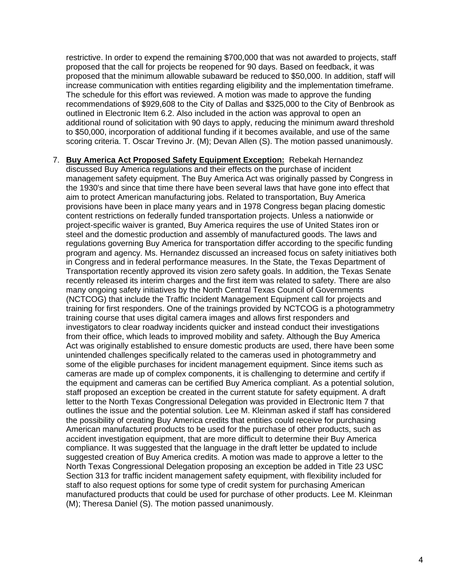restrictive. In order to expend the remaining \$700,000 that was not awarded to projects, staff proposed that the call for projects be reopened for 90 days. Based on feedback, it was proposed that the minimum allowable subaward be reduced to \$50,000. In addition, staff will increase communication with entities regarding eligibility and the implementation timeframe. The schedule for this effort was reviewed. A motion was made to approve the funding recommendations of \$929,608 to the City of Dallas and \$325,000 to the City of Benbrook as outlined in Electronic Item 6.2. Also included in the action was approval to open an additional round of solicitation with 90 days to apply, reducing the minimum award threshold to \$50,000, incorporation of additional funding if it becomes available, and use of the same scoring criteria. T. Oscar Trevino Jr. (M); Devan Allen (S). The motion passed unanimously.

7. **Buy America Act Proposed Safety Equipment Exception:** Rebekah Hernandez discussed Buy America regulations and their effects on the purchase of incident management safety equipment. The Buy America Act was originally passed by Congress in the 1930's and since that time there have been several laws that have gone into effect that aim to protect American manufacturing jobs. Related to transportation, Buy America provisions have been in place many years and in 1978 Congress began placing domestic content restrictions on federally funded transportation projects. Unless a nationwide or project-specific waiver is granted, Buy America requires the use of United States iron or steel and the domestic production and assembly of manufactured goods. The laws and regulations governing Buy America for transportation differ according to the specific funding program and agency. Ms. Hernandez discussed an increased focus on safety initiatives both in Congress and in federal performance measures. In the State, the Texas Department of Transportation recently approved its vision zero safety goals. In addition, the Texas Senate recently released its interim charges and the first item was related to safety. There are also many ongoing safety initiatives by the North Central Texas Council of Governments (NCTCOG) that include the Traffic Incident Management Equipment call for projects and training for first responders. One of the trainings provided by NCTCOG is a photogrammetry training course that uses digital camera images and allows first responders and investigators to clear roadway incidents quicker and instead conduct their investigations from their office, which leads to improved mobility and safety. Although the Buy America Act was originally established to ensure domestic products are used, there have been some unintended challenges specifically related to the cameras used in photogrammetry and some of the eligible purchases for incident management equipment. Since items such as cameras are made up of complex components, it is challenging to determine and certify if the equipment and cameras can be certified Buy America compliant. As a potential solution, staff proposed an exception be created in the current statute for safety equipment. A draft letter to the North Texas Congressional Delegation was provided in Electronic Item 7 that outlines the issue and the potential solution. Lee M. Kleinman asked if staff has considered the possibility of creating Buy America credits that entities could receive for purchasing American manufactured products to be used for the purchase of other products, such as accident investigation equipment, that are more difficult to determine their Buy America compliance. It was suggested that the language in the draft letter be updated to include suggested creation of Buy America credits. A motion was made to approve a letter to the North Texas Congressional Delegation proposing an exception be added in Title 23 USC Section 313 for traffic incident management safety equipment, with flexibility included for staff to also request options for some type of credit system for purchasing American manufactured products that could be used for purchase of other products. Lee M. Kleinman (M); Theresa Daniel (S). The motion passed unanimously.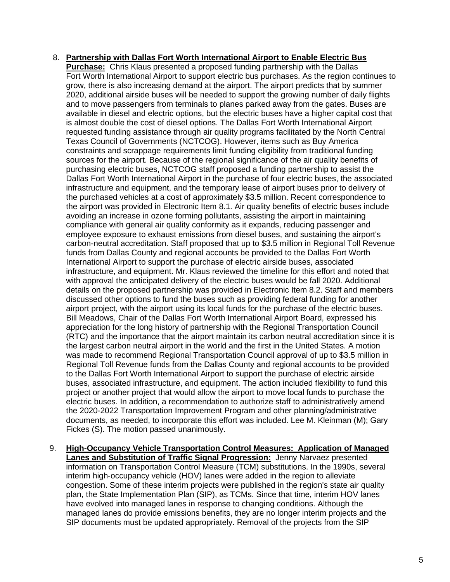## 8. **Partnership with Dallas Fort Worth International Airport to Enable Electric Bus**

**Purchase:** Chris Klaus presented a proposed funding partnership with the Dallas Fort Worth International Airport to support electric bus purchases. As the region continues to grow, there is also increasing demand at the airport. The airport predicts that by summer 2020, additional airside buses will be needed to support the growing number of daily flights and to move passengers from terminals to planes parked away from the gates. Buses are available in diesel and electric options, but the electric buses have a higher capital cost that is almost double the cost of diesel options. The Dallas Fort Worth International Airport requested funding assistance through air quality programs facilitated by the North Central Texas Council of Governments (NCTCOG). However, items such as Buy America constraints and scrappage requirements limit funding eligibility from traditional funding sources for the airport. Because of the regional significance of the air quality benefits of purchasing electric buses, NCTCOG staff proposed a funding partnership to assist the Dallas Fort Worth International Airport in the purchase of four electric buses, the associated infrastructure and equipment, and the temporary lease of airport buses prior to delivery of the purchased vehicles at a cost of approximately \$3.5 million. Recent correspondence to the airport was provided in Electronic Item 8.1. Air quality benefits of electric buses include avoiding an increase in ozone forming pollutants, assisting the airport in maintaining compliance with general air quality conformity as it expands, reducing passenger and employee exposure to exhaust emissions from diesel buses, and sustaining the airport's carbon-neutral accreditation. Staff proposed that up to \$3.5 million in Regional Toll Revenue funds from Dallas County and regional accounts be provided to the Dallas Fort Worth International Airport to support the purchase of electric airside buses, associated infrastructure, and equipment. Mr. Klaus reviewed the timeline for this effort and noted that with approval the anticipated delivery of the electric buses would be fall 2020. Additional details on the proposed partnership was provided in Electronic Item 8.2. Staff and members discussed other options to fund the buses such as providing federal funding for another airport project, with the airport using its local funds for the purchase of the electric buses. Bill Meadows, Chair of the Dallas Fort Worth International Airport Board, expressed his appreciation for the long history of partnership with the Regional Transportation Council (RTC) and the importance that the airport maintain its carbon neutral accreditation since it is the largest carbon neutral airport in the world and the first in the United States. A motion was made to recommend Regional Transportation Council approval of up to \$3.5 million in Regional Toll Revenue funds from the Dallas County and regional accounts to be provided to the Dallas Fort Worth International Airport to support the purchase of electric airside buses, associated infrastructure, and equipment. The action included flexibility to fund this project or another project that would allow the airport to move local funds to purchase the electric buses. In addition, a recommendation to authorize staff to administratively amend the 2020-2022 Transportation Improvement Program and other planning/administrative documents, as needed, to incorporate this effort was included. Lee M. Kleinman (M); Gary Fickes (S). The motion passed unanimously.

9. **High-Occupancy Vehicle Transportation Control Measures: Application of Managed Lanes and Substitution of Traffic Signal Progression:** Jenny Narvaez presented information on Transportation Control Measure (TCM) substitutions. In the 1990s, several interim high-occupancy vehicle (HOV) lanes were added in the region to alleviate congestion. Some of these interim projects were published in the region's state air quality plan, the State Implementation Plan (SIP), as TCMs. Since that time, interim HOV lanes have evolved into managed lanes in response to changing conditions. Although the managed lanes do provide emissions benefits, they are no longer interim projects and the SIP documents must be updated appropriately. Removal of the projects from the SIP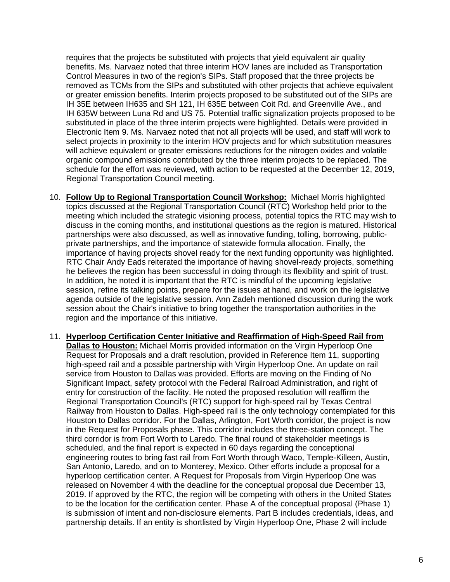requires that the projects be substituted with projects that yield equivalent air quality benefits. Ms. Narvaez noted that three interim HOV lanes are included as Transportation Control Measures in two of the region's SIPs. Staff proposed that the three projects be removed as TCMs from the SIPs and substituted with other projects that achieve equivalent or greater emission benefits. Interim projects proposed to be substituted out of the SIPs are IH 35E between IH635 and SH 121, IH 635E between Coit Rd. and Greenville Ave., and IH 635W between Luna Rd and US 75. Potential traffic signalization projects proposed to be substituted in place of the three interim projects were highlighted. Details were provided in Electronic Item 9. Ms. Narvaez noted that not all projects will be used, and staff will work to select projects in proximity to the interim HOV projects and for which substitution measures will achieve equivalent or greater emissions reductions for the nitrogen oxides and volatile organic compound emissions contributed by the three interim projects to be replaced. The schedule for the effort was reviewed, with action to be requested at the December 12, 2019, Regional Transportation Council meeting.

- 10. **Follow Up to Regional Transportation Council Workshop:** Michael Morris highlighted topics discussed at the Regional Transportation Council (RTC) Workshop held prior to the meeting which included the strategic visioning process, potential topics the RTC may wish to discuss in the coming months, and institutional questions as the region is matured. Historical partnerships were also discussed, as well as innovative funding, tolling, borrowing, publicprivate partnerships, and the importance of statewide formula allocation. Finally, the importance of having projects shovel ready for the next funding opportunity was highlighted. RTC Chair Andy Eads reiterated the importance of having shovel-ready projects, something he believes the region has been successful in doing through its flexibility and spirit of trust. In addition, he noted it is important that the RTC is mindful of the upcoming legislative session, refine its talking points, prepare for the issues at hand, and work on the legislative agenda outside of the legislative session. Ann Zadeh mentioned discussion during the work session about the Chair's initiative to bring together the transportation authorities in the region and the importance of this initiative.
- 11. **Hyperloop Certification Center Initiative and Reaffirmation of High-Speed Rail from Dallas to Houston:** Michael Morris provided information on the Virgin Hyperloop One Request for Proposals and a draft resolution, provided in Reference Item 11, supporting high-speed rail and a possible partnership with Virgin Hyperloop One. An update on rail service from Houston to Dallas was provided. Efforts are moving on the Finding of No Significant Impact, safety protocol with the Federal Railroad Administration, and right of entry for construction of the facility. He noted the proposed resolution will reaffirm the Regional Transportation Council's (RTC) support for high-speed rail by Texas Central Railway from Houston to Dallas. High-speed rail is the only technology contemplated for this Houston to Dallas corridor. For the Dallas, Arlington, Fort Worth corridor, the project is now in the Request for Proposals phase. This corridor includes the three-station concept. The third corridor is from Fort Worth to Laredo. The final round of stakeholder meetings is scheduled, and the final report is expected in 60 days regarding the conceptional engineering routes to bring fast rail from Fort Worth through Waco, Temple-Killeen, Austin, San Antonio, Laredo, and on to Monterey, Mexico. Other efforts include a proposal for a hyperloop certification center. A Request for Proposals from Virgin Hyperloop One was released on November 4 with the deadline for the conceptual proposal due December 13, 2019. If approved by the RTC, the region will be competing with others in the United States to be the location for the certification center. Phase A of the conceptual proposal (Phase 1) is submission of intent and non-disclosure elements. Part B includes credentials, ideas, and partnership details. If an entity is shortlisted by Virgin Hyperloop One, Phase 2 will include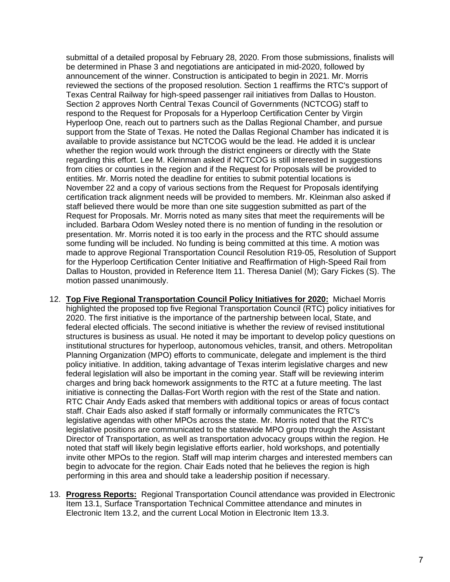submittal of a detailed proposal by February 28, 2020. From those submissions, finalists will be determined in Phase 3 and negotiations are anticipated in mid-2020, followed by announcement of the winner. Construction is anticipated to begin in 2021. Mr. Morris reviewed the sections of the proposed resolution. Section 1 reaffirms the RTC's support of Texas Central Railway for high-speed passenger rail initiatives from Dallas to Houston. Section 2 approves North Central Texas Council of Governments (NCTCOG) staff to respond to the Request for Proposals for a Hyperloop Certification Center by Virgin Hyperloop One, reach out to partners such as the Dallas Regional Chamber, and pursue support from the State of Texas. He noted the Dallas Regional Chamber has indicated it is available to provide assistance but NCTCOG would be the lead. He added it is unclear whether the region would work through the district engineers or directly with the State regarding this effort. Lee M. Kleinman asked if NCTCOG is still interested in suggestions from cities or counties in the region and if the Request for Proposals will be provided to entities. Mr. Morris noted the deadline for entities to submit potential locations is November 22 and a copy of various sections from the Request for Proposals identifying certification track alignment needs will be provided to members. Mr. Kleinman also asked if staff believed there would be more than one site suggestion submitted as part of the Request for Proposals. Mr. Morris noted as many sites that meet the requirements will be included. Barbara Odom Wesley noted there is no mention of funding in the resolution or presentation. Mr. Morris noted it is too early in the process and the RTC should assume some funding will be included. No funding is being committed at this time. A motion was made to approve Regional Transportation Council Resolution R19-05, Resolution of Support for the Hyperloop Certification Center Initiative and Reaffirmation of High-Speed Rail from Dallas to Houston, provided in Reference Item 11. Theresa Daniel (M); Gary Fickes (S). The motion passed unanimously.

- 12. **Top Five Regional Transportation Council Policy Initiatives for 2020:** Michael Morris highlighted the proposed top five Regional Transportation Council (RTC) policy initiatives for 2020. The first initiative is the importance of the partnership between local, State, and federal elected officials. The second initiative is whether the review of revised institutional structures is business as usual. He noted it may be important to develop policy questions on institutional structures for hyperloop, autonomous vehicles, transit, and others. Metropolitan Planning Organization (MPO) efforts to communicate, delegate and implement is the third policy initiative. In addition, taking advantage of Texas interim legislative charges and new federal legislation will also be important in the coming year. Staff will be reviewing interim charges and bring back homework assignments to the RTC at a future meeting. The last initiative is connecting the Dallas-Fort Worth region with the rest of the State and nation. RTC Chair Andy Eads asked that members with additional topics or areas of focus contact staff. Chair Eads also asked if staff formally or informally communicates the RTC's legislative agendas with other MPOs across the state. Mr. Morris noted that the RTC's legislative positions are communicated to the statewide MPO group through the Assistant Director of Transportation, as well as transportation advocacy groups within the region. He noted that staff will likely begin legislative efforts earlier, hold workshops, and potentially invite other MPOs to the region. Staff will map interim charges and interested members can begin to advocate for the region. Chair Eads noted that he believes the region is high performing in this area and should take a leadership position if necessary.
- 13. **Progress Reports:** Regional Transportation Council attendance was provided in Electronic Item 13.1, Surface Transportation Technical Committee attendance and minutes in Electronic Item 13.2, and the current Local Motion in Electronic Item 13.3.